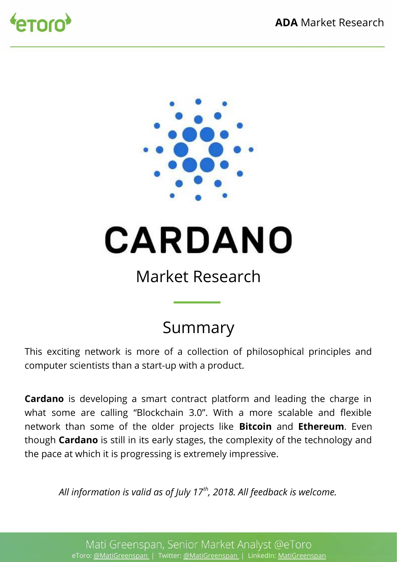



# **CARDANO**

# Market Research

# Summary

This exciting network is more of a collection of philosophical principles and computer scientists than a start-up with a product.

**Cardano** is developing a smart contract platform and leading the charge in what some are calling "Blockchain 3.0". With a more scalable and fexible network than some of the older projects like **Bitcoin** and **Ethereum**. Even though **Cardano** is still in its early stages, the complexity of the technology and the pace at which it is progressing is extremely impressive.

*All information is valid as of July 17th, 2018. All feedback is welcome.*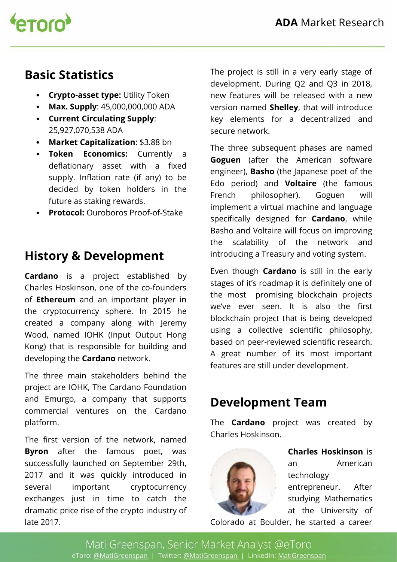

#### **Basic Statistics**

- **Crypto-asset type:** Utility Token
- **Max. Supply**: 45,000,000,000 ADA
- **Current Circulating Supply**: 25,927,070,538 ADA
- **Market Capitalization**: \$3.88 bn
- **Token Economics:** Currently a deflationary asset with a fixed supply. Inflation rate (if any) to be decided by token holders in the future as staking rewards.
- **Protocol:** Ouroboros Proof-of-Stake

## **History & Development**

**Cardano** is a project established by Charles Hoskinson, one of the co-founders of **Ethereum** and an important player in the cryptocurrency sphere. In 2015 he created a company along with Jeremy Wood, named IOHK (Input Output Hong Kong) that is responsible for building and developing the **Cardano** network.

The three main stakeholders behind the project are IOHK, The Cardano Foundation and Emurgo, a company that supports commercial ventures on the Cardano platform.

The first version of the network, named **Byron** after the famous poet, was successfully launched on September 29th, 2017 and it was quickly introduced in several important cryptocurrency exchanges just in time to catch the dramatic price rise of the crypto industry of late 2017.

The project is still in a very early stage of development. During Q2 and Q3 in 2018, new features will be released with a new version named **Shelley**, that will introduce key elements for a decentralized and secure network.

The three subsequent phases are named **Goguen** (after the American software engineer), **Basho** (the Japanese poet of the Edo period) and **Voltaire** (the famous French philosopher). Goguen will implement a virtual machine and language specifically designed for **Cardano**, while Basho and Voltaire will focus on improving the scalability of the network and introducing a Treasury and voting system.

Even though **Cardano** is still in the early stages of it's roadmap it is definitely one of the most promising blockchain projects we've ever seen. It is also the first blockchain project that is being developed using a collective scientifc philosophy, based on peer-reviewed scientific research. A great number of its most important features are still under development.

### **Development Team**

The **Cardano** project was created by Charles Hoskinson.



**Charles Hoskinson** is an American technology entrepreneur. After studying Mathematics at the University of

Colorado at Boulder, he started a career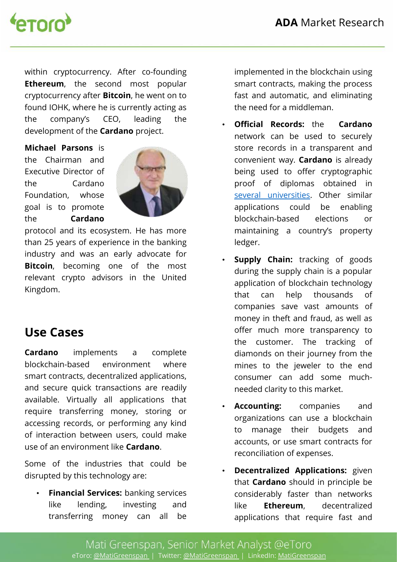

within cryptocurrency. After co-founding **Ethereum**, the second most popular cryptocurrency after **Bitcoin**, he went on to found IOHK, where he is currently acting as the company's CEO, leading the development of the **Cardano** project.

**Michael Parsons** is the Chairman and Executive Director of the Cardano Foundation, whose goal is to promote the **Cardano**



protocol and its ecosystem. He has more than 25 years of experience in the banking industry and was an early advocate for **Bitcoin**, becoming one of the most relevant crypto advisors in the United Kingdom.

#### **Use Cases**

**Cardano** implements a complete blockchain-based environment where smart contracts, decentralized applications, and secure quick transactions are readily available. Virtually all applications that require transferring money, storing or accessing records, or performing any kind of interaction between users, could make use of an environment like **Cardano**.

Some of the industries that could be disrupted by this technology are:

• **Financial Services:** banking services like lending, investing and transferring money can all be

implemented in the blockchain using smart contracts, making the process fast and automatic, and eliminating the need for a middleman.

- **Official Records:** the **Cardano** network can be used to securely store records in a transparent and convenient way. **Cardano** is already being used to offer cryptographic proof of diplomas obtained in [several universities.](https://www.nasdaq.com/article/cardano-blockchains-first-use-case-proof-of-university-diplomas-in-greece-cm899265) Other similar applications could be enabling blockchain-based elections or maintaining a country's property ledger.
- **Supply Chain:** tracking of goods during the supply chain is a popular application of blockchain technology that can help thousands of companies save vast amounts of money in theft and fraud, as well as offer much more transparency to the customer. The tracking of diamonds on their journey from the mines to the jeweler to the end consumer can add some muchneeded clarity to this market.
- **Accounting:** companies and organizations can use a blockchain to manage their budgets and accounts, or use smart contracts for reconciliation of expenses.
- **Decentralized Applications:** given that **Cardano** should in principle be considerably faster than networks like **Ethereum**, decentralized applications that require fast and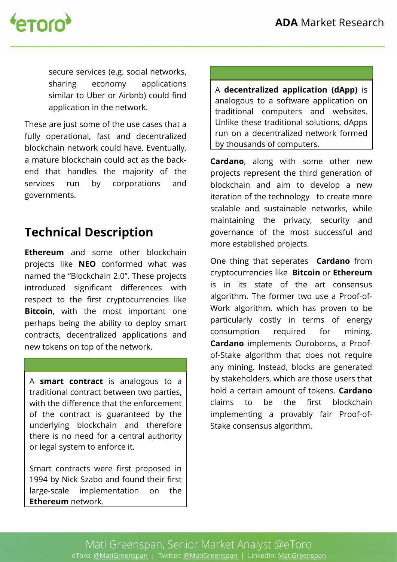

secure services (e.g. social networks, sharing economy applications similar to Uber or Airbnb) could find application in the network.

These are just some of the use cases that a fully operational, fast and decentralized blockchain network could have. Eventually, a mature blockchain could act as the backend that handles the majority of the services run by corporations and governments.

## **Technical Description**

**Ethereum** and some other blockchain projects like **NEO** conformed what was named the "Blockchain 2.0". These projects introduced significant differences with respect to the first cryptocurrencies like **Bitcoin**, with the most important one perhaps being the ability to deploy smart contracts, decentralized applications and new tokens on top of the network.

A **smart contract** is analogous to a traditional contract between two parties, with the diference that the enforcement of the contract is guaranteed by the underlying blockchain and therefore there is no need for a central authority or legal system to enforce it.

Smart contracts were first proposed in 1994 by Nick Szabo and found their first large-scale implementation on the **Ethereum** network.

A **decentralized application (dApp)** is analogous to a software application on traditional computers and websites. Unlike these traditional solutions, dApps run on a decentralized network formed by thousands of computers.

**Cardano**, along with some other new projects represent the third generation of blockchain and aim to develop a new iteration of the technology to create more scalable and sustainable networks, while maintaining the privacy, security and governance of the most successful and more established projects.

One thing that seperates **Cardano** from cryptocurrencies like **Bitcoin** or **Ethereum** is in its state of the art consensus algorithm. The former two use a Proof-of-Work algorithm, which has proven to be particularly costly in terms of energy consumption required for mining. **Cardano** implements Ouroboros, a Proofof-Stake algorithm that does not require any mining. Instead, blocks are generated by stakeholders, which are those users that hold a certain amount of tokens. **Cardano** claims to be the frst blockchain implementing a provably fair Proof-of-Stake consensus algorithm.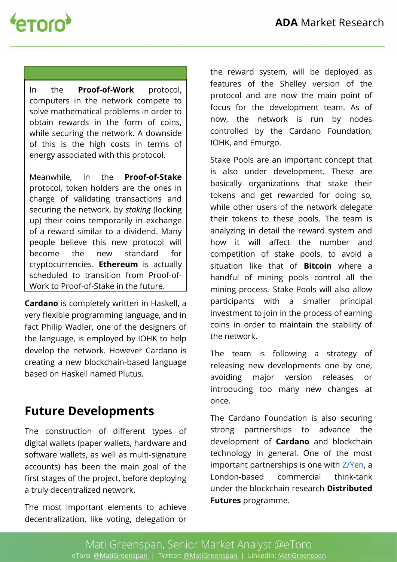

In the **Proof-of-Work** protocol, computers in the network compete to solve mathematical problems in order to obtain rewards in the form of coins, while securing the network. A downside of this is the high costs in terms of energy associated with this protocol.

Meanwhile, in the **Proof-of-Stake**  protocol, token holders are the ones in charge of validating transactions and securing the network, by *staking* (locking up) their coins temporarily in exchange of a reward similar to a dividend. Many people believe this new protocol will become the new standard for cryptocurrencies. **Ethereum** is actually scheduled to transition from Proof-of-Work to Proof-of-Stake in the future.

**Cardano** is completely written in Haskell, a very flexible programming language, and in fact Philip Wadler, one of the designers of the language, is employed by IOHK to help develop the network. However Cardano is creating a new blockchain-based language based on Haskell named Plutus.

#### **Future Developments**

The construction of diferent types of digital wallets (paper wallets, hardware and software wallets, as well as multi-signature accounts) has been the main goal of the first stages of the project, before deploying a truly decentralized network.

The most important elements to achieve decentralization, like voting, delegation or the reward system, will be deployed as features of the Shelley version of the protocol and are now the main point of focus for the development team. As of now, the network is run by nodes controlled by the Cardano Foundation, IOHK, and Emurgo.

Stake Pools are an important concept that is also under development. These are basically organizations that stake their tokens and get rewarded for doing so, while other users of the network delegate their tokens to these pools. The team is analyzing in detail the reward system and how it will afect the number and competition of stake pools, to avoid a situation like that of **Bitcoin** where a handful of mining pools control all the mining process. Stake Pools will also allow participants with a smaller principal investment to join in the process of earning coins in order to maintain the stability of the network.

The team is following a strategy of releasing new developments one by one, avoiding major version releases or introducing too many new changes at once.

The Cardano Foundation is also securing strong partnerships to advance the development of **Cardano** and blockchain technology in general. One of the most important partnerships is one with [Z/Yen,](http://paymentsjournal.com/cardano-foundation-selects-z-yen-blockchain-research-programme/) a London-based commercial think-tank under the blockchain research **Distributed Futures** programme.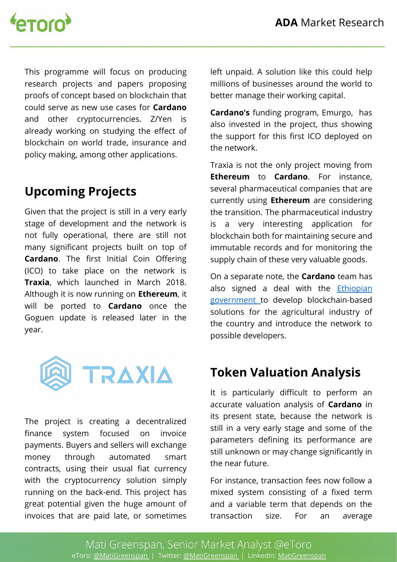

This programme will focus on producing research projects and papers proposing proofs of concept based on blockchain that could serve as new use cases for **Cardano** and other cryptocurrencies. Z/Yen is already working on studying the effect of blockchain on world trade, insurance and policy making, among other applications.

#### **Upcoming Projects**

Given that the project is still in a very early stage of development and the network is not fully operational, there are still not many significant projects built on top of **Cardano.** The first Initial Coin Offering (ICO) to take place on the network is **Traxia**, which launched in March 2018. Although it is now running on **Ethereum**, it will be ported to **Cardano** once the Goguen update is released later in the year.



The project is creating a decentralized fnance system focused on invoice payments. Buyers and sellers will exchange money through automated smart contracts, using their usual fiat currency with the cryptocurrency solution simply running on the back-end. This project has great potential given the huge amount of invoices that are paid late, or sometimes

left unpaid. A solution like this could help millions of businesses around the world to better manage their working capital.

**Cardano's** funding program, Emurgo, has also invested in the project, thus showing the support for this frst ICO deployed on the network.

Traxia is not the only project moving from **Ethereum** to **Cardano**. For instance, several pharmaceutical companies that are currently using **Ethereum** are considering the transition. The pharmaceutical industry is a very interesting application for blockchain both for maintaining secure and immutable records and for monitoring the supply chain of these very valuable goods.

On a separate note, the **Cardano** team has also signed a deal with the **Ethiopian** [government t](https://thenextweb.com/hardfork/2018/05/03/ethiopia-cardano-blockchain-cryptocurrency/)o develop blockchain-based solutions for the agricultural industry of the country and introduce the network to possible developers.

#### **Token Valuation Analysis**

It is particularly difficult to perform an accurate valuation analysis of **Cardano** in its present state, because the network is still in a very early stage and some of the parameters defning its performance are still unknown or may change significantly in the near future.

For instance, transaction fees now follow a mixed system consisting of a fixed term and a variable term that depends on the transaction size. For an average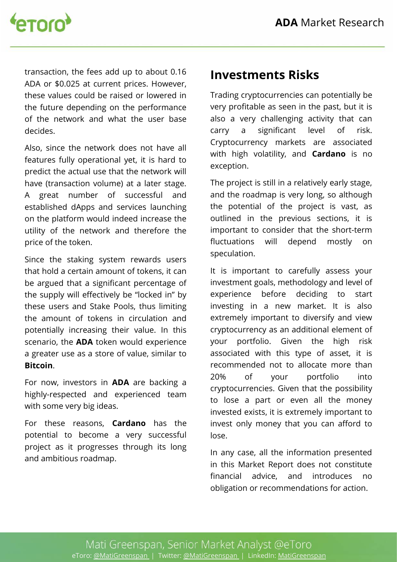

transaction, the fees add up to about 0.16 ADA or \$0.025 at current prices. However, these values could be raised or lowered in the future depending on the performance of the network and what the user base decides.

Also, since the network does not have all features fully operational yet, it is hard to predict the actual use that the network will have (transaction volume) at a later stage. A great number of successful and established dApps and services launching on the platform would indeed increase the utility of the network and therefore the price of the token.

Since the staking system rewards users that hold a certain amount of tokens, it can be argued that a significant percentage of the supply will effectively be "locked in" by these users and Stake Pools, thus limiting the amount of tokens in circulation and potentially increasing their value. In this scenario, the **ADA** token would experience a greater use as a store of value, similar to **Bitcoin**.

For now, investors in **ADA** are backing a highly-respected and experienced team with some very big ideas.

For these reasons, **Cardano** has the potential to become a very successful project as it progresses through its long and ambitious roadmap.

#### **Investments Risks**

Trading cryptocurrencies can potentially be very profitable as seen in the past, but it is also a very challenging activity that can carry a significant level of risk. Cryptocurrency markets are associated with high volatility, and **Cardano** is no exception.

The project is still in a relatively early stage, and the roadmap is very long, so although the potential of the project is vast, as outlined in the previous sections, it is important to consider that the short-term fuctuations will depend mostly on speculation.

It is important to carefully assess your investment goals, methodology and level of experience before deciding to start investing in a new market. It is also extremely important to diversify and view cryptocurrency as an additional element of your portfolio. Given the high risk associated with this type of asset, it is recommended not to allocate more than 20% of your portfolio into cryptocurrencies. Given that the possibility to lose a part or even all the money invested exists, it is extremely important to invest only money that you can afford to lose.

In any case, all the information presented in this Market Report does not constitute fnancial advice, and introduces no obligation or recommendations for action.